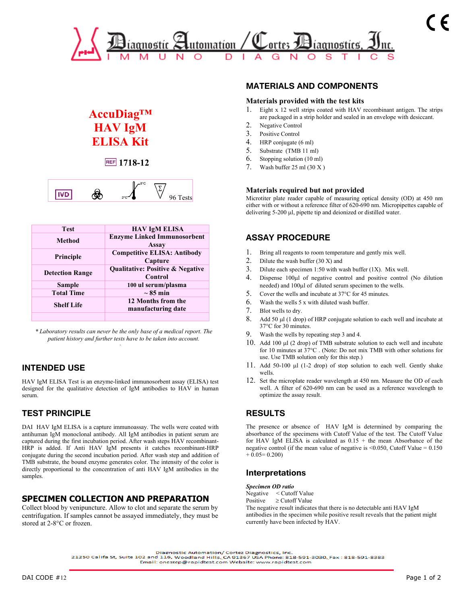

# **AccuDiag™ HAV IgM ELISA Kit**

## **REF** 1718-12



| <b>Test</b>            | <b>HAV IgM ELISA</b>                                   |
|------------------------|--------------------------------------------------------|
| Method                 | <b>Enzyme Linked Immunosorbent</b><br><b>Assay</b>     |
| Principle              | <b>Competitive ELISA: Antibody</b><br>Capture          |
| <b>Detection Range</b> | <b>Qualitative: Positive &amp; Negative</b><br>Control |
| Sample                 | 100 ul serum/plasma                                    |
| <b>Total Time</b>      | $\sim 85$ min                                          |
| <b>Shelf Life</b>      | 12 Months from the<br>manufacturing date               |
|                        |                                                        |

*\* Laboratory results can never be the only base of a medical report. The patient history and further tests have to be taken into account.* .

# **INTENDED USE**

HAV IgM ELISA Test is an enzyme-linked immunosorbent assay (ELISA) test designed for the qualitative detection of IgM antibodies to HAV in human serum.

# **TEST PRINCIPLE**

DAI HAV IgM ELISA is a capture immunoassay. The wells were coated with antihuman IgM monoclonal antibody. All IgM antibodies in patient serum are captured during the first incubation period. After wash steps HAV recombinant-HRP is added. If Anti HAV IgM presents it catches recombinant-HRP conjugate during the second incubation period. After wash step and addition of TMB substrate, the bound enzyme generates color. The intensity of the color is directly proportional to the concentration of anti HAV IgM antibodies in the samples.

### **SPECIMEN COLLECTION AND PREPARATION**

Collect blood by venipuncture. Allow to clot and separate the serum by centrifugation. If samples cannot be assayed immediately, they must be stored at 2-8°C or frozen.

# **MATERIALS AND COMPONENTS**

#### **Materials provided with the test kits**

- 1. Eight x 12 well strips coated with HAV recombinant antigen. The strips are packaged in a strip holder and sealed in an envelope with desiccant.
- 2. Negative Control
- 3. Positive Control
- 4. HRP conjugate (6 ml)
- 5. Substrate (TMB 11 ml)
- 6. Stopping solution (10 ml)
- 7. Wash buffer 25 ml (30 X )

#### **Materials required but not provided**

Microtiter plate reader capable of measuring optical density (OD) at 450 nm either with or without a reference filter of 620-690 nm. Micropipettes capable of delivering 5-200 µl, pipette tip and deionized or distilled water.

## **ASSAY PROCEDURE**

- 1. Bring all reagents to room temperature and gently mix well.
- 2. Dilute the wash buffer (30 X) and
- 3. Dilute each specimen 1:50 with wash buffer (1X). Mix well.
- 4. Dispense 100µl of negative control and positive control (No dilution needed) and 100µl of diluted serum specimen to the wells.
- 5. Cover the wells and incubate at 37°C for 45 minutes.
- 6. Wash the wells 5 x with diluted wash buffer.
- 7. Blot wells to dry.
- 8. Add 50 µl (1 drop) of HRP conjugate solution to each well and incubate at 37°C for 30 minutes.
- 9. Wash the wells by repeating step 3 and 4.
- 10. Add 100 µl (2 drop) of TMB substrate solution to each well and incubate for 10 minutes at 37°C . (Note: Do not mix TMB with other solutions for use. Use TMB solution only for this step.)
- 11. Add 50-100 µl (1-2 drop) of stop solution to each well. Gently shake wells.
- 12. Set the microplate reader wavelength at 450 nm. Measure the OD of each well. A filter of 620-690 nm can be used as a reference wavelength to optimize the assay result.

# **RESULTS**

The presence or absence of HAV IgM is determined by comparing the absorbance of the specimens with Cutoff Value of the test. The Cutoff Value for HAV IgM ELISA is calculated as  $0.15 +$  the mean Absorbance of the negative control (if the mean value of negative is  $\leq 0.050$ , Cutoff Value = 0.150  $+ 0.05 = 0.200$ 

### **Interpretations**

*Specimen OD ratio*  Negative < Cutoff Value

Positive ≥ Cutoff Value

The negative result indicates that there is no detectable anti HAV IgM antibodies in the specimen while positive result reveals that the patient might currently have been infected by HAV.

Email: onestep@rapidtest.com Website: www.rapidtest.com

Diagnostic Automation/ Cortez Diagnostics, Inc.

<sup>21250</sup> Califa St, Suite 102 and 116, Woodland Hills, CA 91367 USA Phone: 818-591-3030, Fax : 818-591-8383